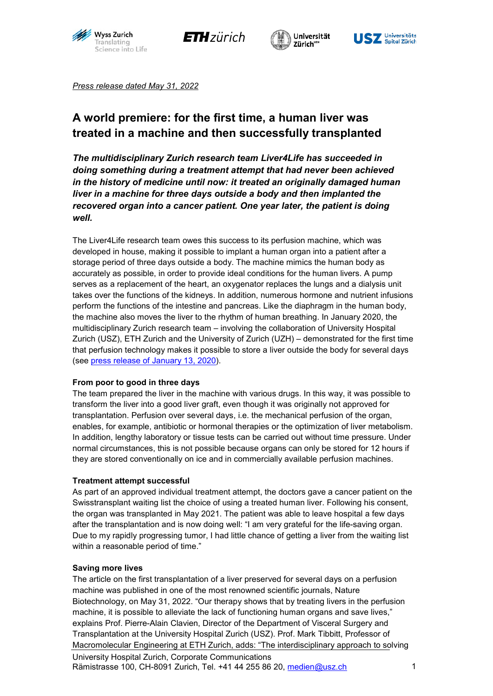







*Press release dated May 31, 2022*

# **A world premiere: for the first time, a human liver was treated in a machine and then successfully transplanted**

*The multidisciplinary Zurich research team Liver4Life has succeeded in doing something during a treatment attempt that had never been achieved in the history of medicine until now: it treated an originally damaged human liver in a machine for three days outside a body and then implanted the recovered organ into a cancer patient. One year later, the patient is doing well.*

The Liver4Life research team owes this success to its perfusion machine, which was developed in house, making it possible to implant a human organ into a patient after a storage period of three days outside a body. The machine mimics the human body as accurately as possible, in order to provide ideal conditions for the human livers. A pump serves as a replacement of the heart, an oxygenator replaces the lungs and a dialysis unit takes over the functions of the kidneys. In addition, numerous hormone and nutrient infusions perform the functions of the intestine and pancreas. Like the diaphragm in the human body, the machine also moves the liver to the rhythm of human breathing. In January 2020, the multidisciplinary Zurich research team – involving the collaboration of University Hospital Zurich (USZ), ETH Zurich and the University of Zurich (UZH) – demonstrated for the first time that perfusion technology makes it possible to store a liver outside the body for several days (see [press release of January](https://www.usz.ch/leberperfusion/) 13, 2020).

### **From poor to good in three days**

The team prepared the liver in the machine with various drugs. In this way, it was possible to transform the liver into a good liver graft, even though it was originally not approved for transplantation. Perfusion over several days, i.e. the mechanical perfusion of the organ, enables, for example, antibiotic or hormonal therapies or the optimization of liver metabolism. In addition, lengthy laboratory or tissue tests can be carried out without time pressure. Under normal circumstances, this is not possible because organs can only be stored for 12 hours if they are stored conventionally on ice and in commercially available perfusion machines.

### **Treatment attempt successful**

As part of an approved individual treatment attempt, the doctors gave a cancer patient on the Swisstransplant waiting list the choice of using a treated human liver. Following his consent, the organ was transplanted in May 2021. The patient was able to leave hospital a few days after the transplantation and is now doing well: "I am very grateful for the life-saving organ. Due to my rapidly progressing tumor, I had little chance of getting a liver from the waiting list within a reasonable period of time."

### **Saving more lives**

The article on the first transplantation of a liver preserved for several days on a perfusion machine was published in one of the most renowned scientific journals, Nature Biotechnology, on May 31, 2022. "Our therapy shows that by treating livers in the perfusion machine, it is possible to alleviate the lack of functioning human organs and save lives," explains Prof. Pierre-Alain Clavien, Director of the Department of Visceral Surgery and Transplantation at the University Hospital Zurich (USZ). Prof. Mark Tibbitt, Professor of Macromolecular Engineering at ETH Zurich, adds: "The interdisciplinary approach to solving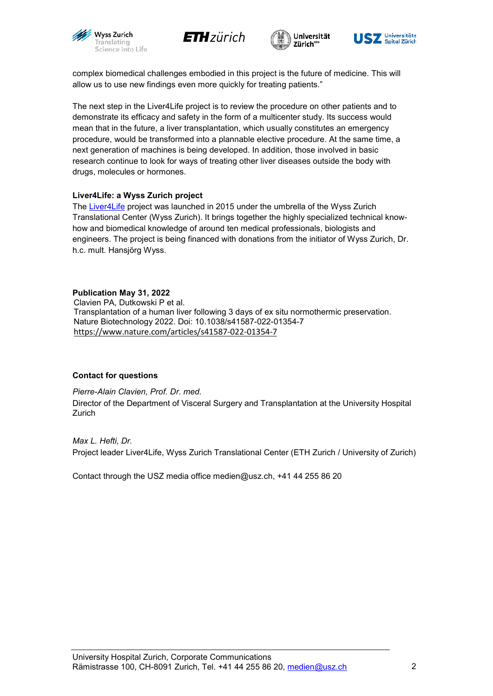







complex biomedical challenges embodied in this project is the future of medicine. This will allow us to use new findings even more quickly for treating patients."

The next step in the Liver4Life project is to review the procedure on other patients and to demonstrate its efficacy and safety in the form of a multicenter study. Its success would mean that in the future, a liver transplantation, which usually constitutes an emergency procedure, would be transformed into a plannable elective procedure. At the same time, a next generation of machines is being developed. In addition, those involved in basic research continue to look for ways of treating other liver diseases outside the body with drugs, molecules or hormones.

## **Liver4Life: a Wyss Zurich project**

The [Liver4Life](https://www.wysszurich.uzh.ch/projects/wyss-zurich-projects/liver4life) project was launched in 2015 under the umbrella of the Wyss Zurich Translational Center (Wyss Zurich). It brings together the highly specialized technical knowhow and biomedical knowledge of around ten medical professionals, biologists and engineers. The project is being financed with donations from the initiator of Wyss Zurich, Dr. h.c. mult. Hansjörg Wyss.

**Publication May 31, 2022** Clavien PA, Dutkowski P et al. Transplantation of a human liver following 3 days of ex situ normothermic preservation. Nature Biotechnology 2022. Doi: 10.1038/s41587-022-01354-7 <https://www.nature.com/articles/s41587-022-01354-7>

### **Contact for questions**

*Pierre-Alain Clavien, Prof. Dr. med.* Director of the Department of Visceral Surgery and Transplantation at the University Hospital **Zurich** 

*Max L. Hefti, Dr.* Project leader Liver4Life, Wyss Zurich Translational Center (ETH Zurich / University of Zurich)

Contact through the USZ media office [medien@usz.ch, +](mailto:medien@usz.ch)41 44 255 86 20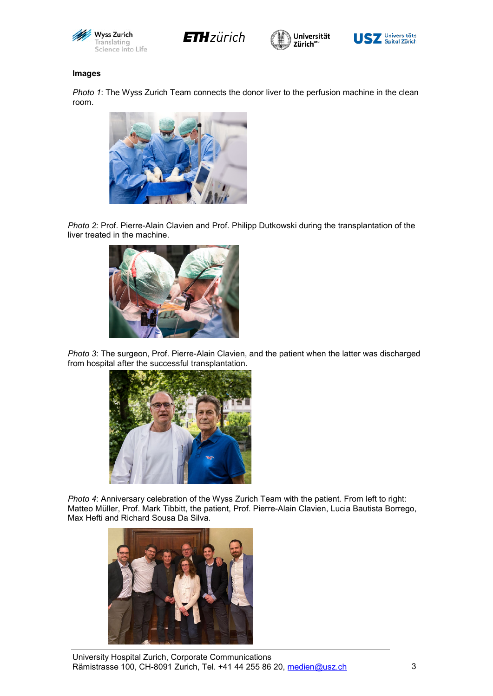







#### **Images**

*Photo 1*: The Wyss Zurich Team connects the donor liver to the perfusion machine in the clean room.



*Photo 2*: Prof. Pierre-Alain Clavien and Prof. Philipp Dutkowski during the transplantation of the liver treated in the machine.



*Photo 3*: The surgeon, Prof. Pierre-Alain Clavien, and the patient when the latter was discharged from hospital after the successful transplantation.



*Photo 4*: Anniversary celebration of the Wyss Zurich Team with the patient. From left to right: Matteo Müller, Prof. Mark Tibbitt, the patient, Prof. Pierre-Alain Clavien, Lucia Bautista Borrego, Max Hefti and Richard Sousa Da Silva.